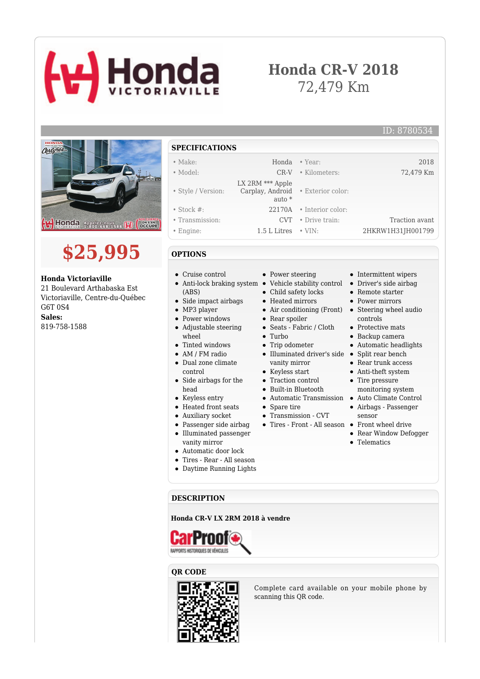# **Honda**

## **Honda CR-V 2018** 72,479 Km





#### **Honda Victoriaville**

21 Boulevard Arthabaska Est Victoriaville, Centre-du-Québec G6T 0S4 **Sales:** 819-758-1588

#### **SPECIFICATIONS**

#### • Make: Honda • Year: 2018 • Model: CR-V • Kilometers: 72,479 Km

• Style / Version: LX 2RM \*\*\* Apple Carplay, Android • Exterior color: auto \* • Stock #: 22170A • Interior color: • Transmission: CVT • Drive train: Traction avant

• Power steering

• Rear spoiler Seats - Fabric / Cloth

• Trip odometer

Keyless start  $\bullet~$  Traction control Built-in Bluetooth

• Spare tire

• Transmission - CVT

• Turbo

Child safety locks Heated mirrors

• Engine: 1.5 L Litres • VIN: 2HKRW1H31JH001799

### **OPTIONS**

- Cruise control
- Anti-lock braking system Vehicle stability control Driver's side airbag (ABS)
- Side impact airbags
- MP3 player
- Power windows
- Adjustable steering wheel
- Tinted windows
- AM / FM radio
- Dual zone climate control
- Side airbags for the head
- Keyless entry
- Heated front seats
- Auxiliary socket
- Passenger side airbag
- Illuminated passenger vanity mirror
- Automatic door lock
- Tires Rear All season
- Daytime Running Lights

#### **DESCRIPTION**

#### **Honda CR-V LX 2RM 2018 à vendre**



#### **QR CODE**



## ID: 8780534

- Intermittent wipers
	-
	- Remote starter
	- Power mirrors
- Air conditioning (Front) Steering wheel audio controls
	- Protective mats
	- Backup camera
	- $\bullet~$  Automatic headlights
- Illuminated driver's side Split rear bench
- vanity mirror Rear trunk access
	- Anti-theft system
	- Tire pressure monitoring system
- Automatic Transmission Auto Climate Control
	- Airbags Passenger sensor
- Tires Front All season Front wheel drive
	- Rear Window Defogger
	- **•** Telematics

Complete card available on your mobile phone by scanning this QR code.